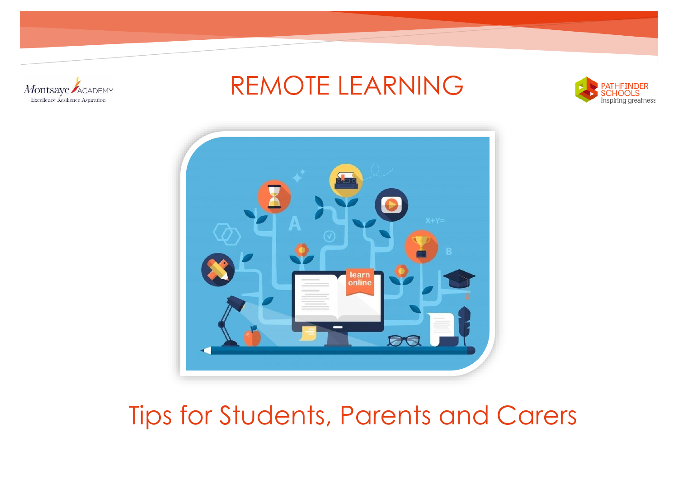

# REMOTE LEARNING





## Tips for Students, Parents and Carers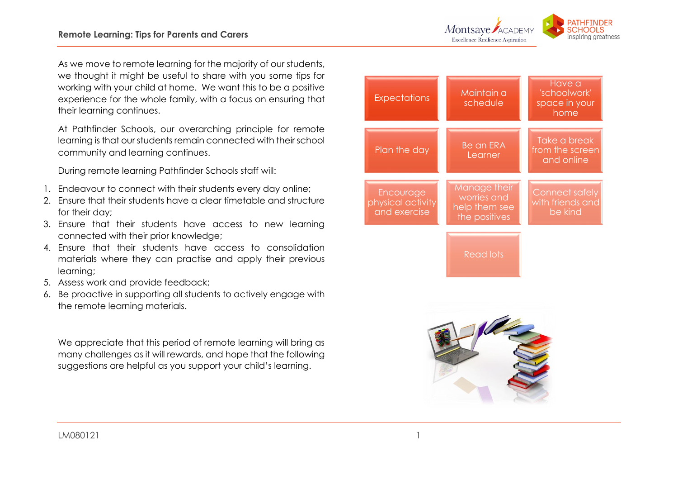Montsave **ACADEMY** Excellence Resilience Aspiration



As we move to remote learning for the majority of our students, we thought it might be useful to share with you some tips for working with your child at home. We want this to be a positive experience for the whole family, with a focus on ensuring that their learning continues.

At Pathfinder Schools, our overarching principle for remote learning is that our students remain connected with their school community and learning continues.

During remote learning Pathfinder Schools staff will:

- 1. Endeavour to connect with their students every day online;
- 2. Ensure that their students have a clear timetable and structure for their day;
- 3. Ensure that their students have access to new learning connected with their prior knowledge;
- 4. Ensure that their students have access to consolidation materials where they can practise and apply their previous learning;
- 5. Assess work and provide feedback;
- 6. Be proactive in supporting all students to actively engage with the remote learning materials.

We appreciate that this period of remote learning will bring as many challenges as it will rewards, and hope that the following suggestions are helpful as you support your child's learning.





#### LM080121 1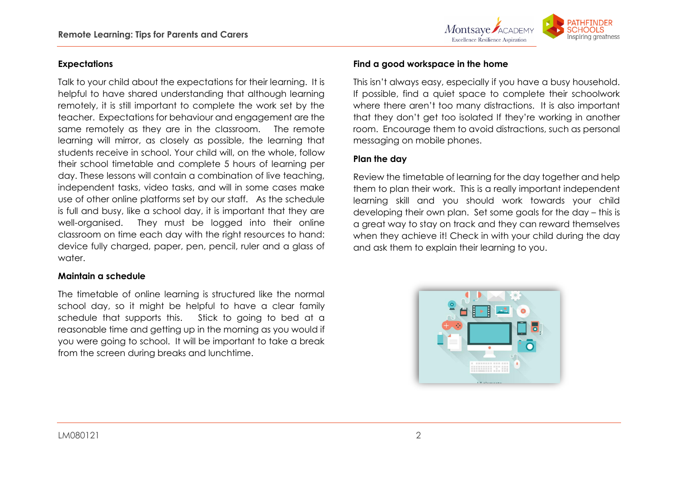

Talk to your child about the expectations for their learning. It is helpful to have shared understanding that although learning remotely, it is still important to complete the work set by the teacher. Expectations for behaviour and engagement are the same remotely as they are in the classroom. The remote learning will mirror, as closely as possible, the learning that students receive in school. Your child will, on the whole, follow their school timetable and complete 5 hours of learning per day. These lessons will contain a combination of live teaching, independent tasks, video tasks, and will in some cases make use of other online platforms set by our staff. As the schedule is full and busy, like a school day, it is important that they are well-organised. They must be logged into their online classroom on time each day with the right resources to hand: device fully charged, paper, pen, pencil, ruler and a glass of water.

#### **Maintain a schedule**

The timetable of online learning is structured like the normal school day, so it might be helpful to have a clear family schedule that supports this. Stick to going to bed at a reasonable time and getting up in the morning as you would if you were going to school. It will be important to take a break from the screen during breaks and lunchtime.



This isn't always easy, especially if you have a busy household. If possible, find a quiet space to complete their schoolwork where there aren't too many distractions. It is also important that they don't get too isolated If they're working in another room. Encourage them to avoid distractions, such as personal messaging on mobile phones.

Montsave **ACADEMY** 

Excellence Resilience Aspiration

**SCHOOLS** Inspiring greatness

## **Plan the day**

Review the timetable of learning for the day together and help them to plan their work. This is a really important independent learning skill and you should work towards your child developing their own plan. Set some goals for the day – this is a great way to stay on track and they can reward themselves when they achieve it! Check in with your child during the day and ask them to explain their learning to you.

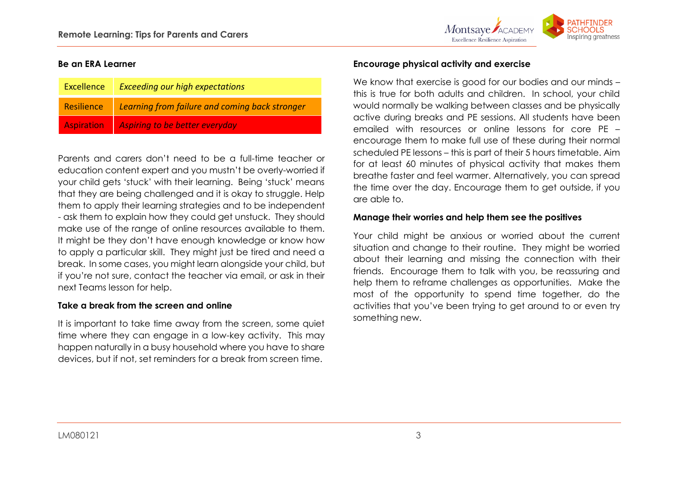#### **Be an ERA Learner**

| <b>Excellence</b> | <b>Exceeding our high expectations</b>         |
|-------------------|------------------------------------------------|
| Resilience        | Learning from failure and coming back stronger |
|                   | Aspiration Aspiring to be better everyday      |

Parents and carers don't need to be a full-time teacher or education content expert and you mustn't be overly-worried if your child gets 'stuck' with their learning. Being 'stuck' means that they are being challenged and it is okay to struggle. Help them to apply their learning strategies and to be independent - ask them to explain how they could get unstuck. They should make use of the range of online resources available to them. It might be they don't have enough knowledge or know how to apply a particular skill. They might just be tired and need a break. In some cases, you might learn alongside your child, but if you're not sure, contact the teacher via email, or ask in their next Teams lesson for help.

#### **Take a break from the screen and online**

It is important to take time away from the screen, some quiet time where they can engage in a low-key activity. This may happen naturally in a busy household where you have to share devices, but if not, set reminders for a break from screen time.

#### **Encourage physical activity and exercise**

We know that exercise is good for our bodies and our minds this is true for both adults and children. In school, your child would normally be walking between classes and be physically active during breaks and PE sessions. All students have been emailed with resources or online lessons for core PE – encourage them to make full use of these during their normal scheduled PE lessons – this is part of their 5 hours timetable. Aim for at least 60 minutes of physical activity that makes them breathe faster and feel warmer. Alternatively, you can spread the time over the day. Encourage them to get outside, if you are able to.

#### **Manage their worries and help them see the positives**

Your child might be anxious or worried about the current situation and change to their routine. They might be worried about their learning and missing the connection with their friends. Encourage them to talk with you, be reassuring and help them to reframe challenges as opportunities. Make the most of the opportunity to spend time together, do the activities that you've been trying to get around to or even try something new.

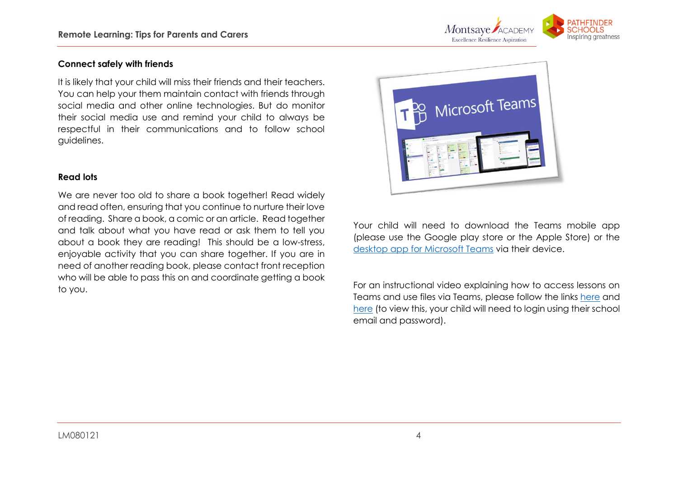Montsave **ACADEMY** Excellence Resilience Aspiration



#### **Connect safely with friends**

It is likely that your child will miss their friends and their teachers. You can help your them maintain contact with friends through social media and other online technologies. But do monitor their social media use and remind your child to always be respectful in their communications and to follow school guidelines.

#### **Read lots**

We are never too old to share a book together! Read widely and read often, ensuring that you continue to nurture their love of reading. Share a book, a comic or an article. Read together and talk about what you have read or ask them to tell you about a book they are reading! This should be a low-stress, enjoyable activity that you can share together. If you are in need of another reading book, please contact front reception who will be able to pass this on and coordinate getting a book to you.



Your child will need to download the Teams mobile app (please use the Google play store or the Apple Store) or the [desktop app for Microsoft Teams](https://www.microsoft.com/en-gb/microsoft-365/microsoft-teams/download-app) via their device.

For an instructional video explaining how to access lessons on Teams and use files via Teams, please follow the links [here](https://web.microsoftstream.com/video/21ff8c5a-f60e-46e2-a7bf-bfb62e990d47) and [here](https://web.microsoftstream.com/video/3fe10e74-52b4-47b2-af5b-a9204e18fd29) (to view this, your child will need to login using their school email and password).